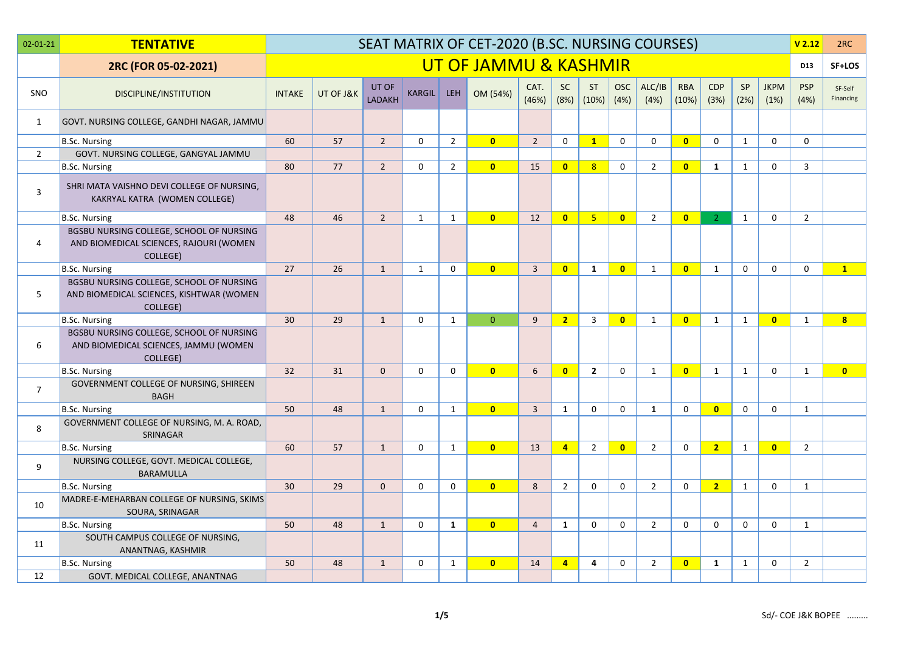| $02 - 01 - 21$ | <b>TENTATIVE</b>                                                                                 |                 |           |                        |               |                | SEAT MATRIX OF CET-2020 (B.SC. NURSING COURSES) |                |                         |                         |                    |                |                     |                    |              |                         | V <sub>2.12</sub>  | 2RC                  |
|----------------|--------------------------------------------------------------------------------------------------|-----------------|-----------|------------------------|---------------|----------------|-------------------------------------------------|----------------|-------------------------|-------------------------|--------------------|----------------|---------------------|--------------------|--------------|-------------------------|--------------------|----------------------|
|                | 2RC (FOR 05-02-2021)                                                                             |                 |           |                        |               |                | UT OF JAMMU & KASHMIR                           |                |                         |                         |                    |                |                     |                    |              |                         | D13                | SF+LOS               |
| SNO            | DISCIPLINE/INSTITUTION                                                                           | <b>INTAKE</b>   | UT OF J&K | UT OF<br><b>LADAKH</b> | <b>KARGIL</b> | <b>LEH</b>     | OM (54%)                                        | CAT.<br>(46%)  | <b>SC</b><br>(8%)       | <b>ST</b><br>(10%)      | <b>OSC</b><br>(4%) | ALC/IB<br>(4%) | <b>RBA</b><br>(10%) | <b>CDP</b><br>(3%) | SP<br>(2%)   | <b>JKPM</b><br>(1%)     | <b>PSP</b><br>(4%) | SF-Self<br>Financing |
| 1              | GOVT. NURSING COLLEGE, GANDHI NAGAR, JAMMU                                                       |                 |           |                        |               |                |                                                 |                |                         |                         |                    |                |                     |                    |              |                         |                    |                      |
|                | <b>B.Sc. Nursing</b>                                                                             | 60              | 57        | $\overline{2}$         | $\mathbf 0$   | $\overline{2}$ | $\overline{0}$                                  | $\overline{2}$ | $\mathbf 0$             | $\mathbf{1}$            | $\mathbf 0$        | $\mathbf 0$    | $\mathbf{0}$        | $\mathbf 0$        | $\mathbf{1}$ | $\mathbf 0$             | $\mathbf 0$        |                      |
| $\overline{2}$ | GOVT. NURSING COLLEGE, GANGYAL JAMMU                                                             |                 |           |                        |               |                |                                                 |                |                         |                         |                    |                |                     |                    |              |                         |                    |                      |
|                | <b>B.Sc. Nursing</b>                                                                             | 80              | 77        | $\overline{2}$         | $\Omega$      | $\overline{2}$ | $\overline{0}$                                  | 15             | $\overline{0}$          | 8                       | $\mathbf{0}$       | $\overline{2}$ | $\mathbf{0}$        | $\mathbf{1}$       | $\mathbf{1}$ | $\Omega$                | $\overline{3}$     |                      |
| $\mathsf 3$    | SHRI MATA VAISHNO DEVI COLLEGE OF NURSING,<br>KAKRYAL KATRA (WOMEN COLLEGE)                      |                 |           |                        |               |                |                                                 |                |                         |                         |                    |                |                     |                    |              |                         |                    |                      |
|                | <b>B.Sc. Nursing</b>                                                                             | 48              | 46        | $\overline{2}$         | $\mathbf{1}$  | $\mathbf{1}$   | $\overline{0}$                                  | 12             | $\overline{0}$          | $-5$                    | $\overline{0}$     | $\overline{2}$ | $\overline{0}$      | $\overline{2}$     | $\mathbf{1}$ | $\mathbf 0$             | $\overline{2}$     |                      |
| $\overline{4}$ | BGSBU NURSING COLLEGE, SCHOOL OF NURSING<br>AND BIOMEDICAL SCIENCES, RAJOURI (WOMEN<br>COLLEGE)  |                 |           |                        |               |                |                                                 |                |                         |                         |                    |                |                     |                    |              |                         |                    |                      |
|                | <b>B.Sc. Nursing</b>                                                                             | 27              | 26        | $\mathbf{1}$           | $\mathbf{1}$  | $\mathbf 0$    | $\overline{0}$                                  | $\overline{3}$ | $\overline{0}$          | $\mathbf{1}$            | $\overline{0}$     | $\mathbf{1}$   | $\overline{0}$      | $\mathbf{1}$       | $\mathbf 0$  | $\Omega$                | $\mathbf 0$        | $\mathbf{1}$         |
| 5              | BGSBU NURSING COLLEGE, SCHOOL OF NURSING<br>AND BIOMEDICAL SCIENCES, KISHTWAR (WOMEN<br>COLLEGE) |                 |           |                        |               |                |                                                 |                |                         |                         |                    |                |                     |                    |              |                         |                    |                      |
|                | <b>B.Sc. Nursing</b>                                                                             | 30 <sup>°</sup> | 29        | $\mathbf{1}$           | $\mathbf 0$   | $\mathbf{1}$   | $\overline{0}$                                  | 9              | 2 <sup>2</sup>          | $\overline{3}$          | $\bullet$          | $\mathbf{1}$   | $\mathbf{0}$        | $\mathbf{1}$       | $\mathbf{1}$ | $\overline{0}$          | $\mathbf{1}$       | 8 <sup>1</sup>       |
| 6              | BGSBU NURSING COLLEGE, SCHOOL OF NURSING<br>AND BIOMEDICAL SCIENCES, JAMMU (WOMEN<br>COLLEGE)    |                 |           |                        |               |                |                                                 |                |                         |                         |                    |                |                     |                    |              |                         |                    |                      |
|                | <b>B.Sc. Nursing</b>                                                                             | 32              | 31        | $\mathbf{0}$           | $\mathbf 0$   | $\mathbf 0$    | $\mathbf{0}$                                    | 6              | $\overline{\mathbf{0}}$ | $\overline{2}$          | $\mathbf 0$        | $\mathbf{1}$   | $\mathbf{0}$        | $\mathbf{1}$       | $\mathbf{1}$ | $\mathbf 0$             | $\mathbf{1}$       | $\bullet$            |
| $\overline{7}$ | GOVERNMENT COLLEGE OF NURSING, SHIREEN<br><b>BAGH</b>                                            |                 |           |                        |               |                |                                                 |                |                         |                         |                    |                |                     |                    |              |                         |                    |                      |
|                | <b>B.Sc. Nursing</b>                                                                             | 50              | 48        | $\mathbf{1}$           | $\Omega$      | $\mathbf{1}$   | $\overline{0}$                                  | $\overline{3}$ | $\mathbf{1}$            | $\mathbf 0$             | $\mathbf 0$        | $\mathbf{1}$   | $\mathbf{0}$        | $\mathbf{0}$       | $\mathbf 0$  | $\Omega$                | $\mathbf{1}$       |                      |
| 8              | GOVERNMENT COLLEGE OF NURSING, M. A. ROAD,<br>SRINAGAR                                           |                 |           |                        |               |                |                                                 |                |                         |                         |                    |                |                     |                    |              |                         |                    |                      |
|                | <b>B.Sc. Nursing</b>                                                                             | 60              | 57        | $\mathbf{1}$           | $\mathbf 0$   | $\mathbf{1}$   | $\mathbf{0}$                                    | 13             | $\overline{4}$          | $\overline{2}$          | $\overline{0}$     | $\overline{2}$ | $\Omega$            | $\overline{2}$     | $\mathbf{1}$ | $\overline{\mathbf{0}}$ | $\overline{2}$     |                      |
| 9              | NURSING COLLEGE, GOVT. MEDICAL COLLEGE,<br><b>BARAMULLA</b>                                      |                 |           |                        |               |                |                                                 |                |                         |                         |                    |                |                     |                    |              |                         |                    |                      |
|                | B.Sc. Nursing                                                                                    | 30 <sup>°</sup> | 29        | $\mathbf{0}$           | $\mathbf 0$   | 0              | $\bullet$                                       | 8              | $\overline{2}$          | $\mathbf 0$             | $\mathbf 0$        | $\overline{2}$ | $\mathbf 0$         | $\overline{2}$     | $\mathbf{1}$ | 0                       | $\mathbf{1}$       |                      |
| 10             | MADRE-E-MEHARBAN COLLEGE OF NURSING, SKIMS<br>SOURA, SRINAGAR                                    |                 |           |                        |               |                |                                                 |                |                         |                         |                    |                |                     |                    |              |                         |                    |                      |
|                | B.Sc. Nursing                                                                                    | 50              | 48        | $\mathbf{1}$           | $\mathbf 0$   | $\mathbf{1}$   | $\bullet$                                       | $\overline{4}$ | $\mathbf{1}$            | $\mathbf 0$             | $\mathbf 0$        | $\overline{2}$ | $\mathbf 0$         | $\mathbf 0$        | 0            | $\mathbf 0$             | $\mathbf{1}$       |                      |
| 11             | SOUTH CAMPUS COLLEGE OF NURSING,<br>ANANTNAG, KASHMIR                                            |                 |           |                        |               |                |                                                 |                |                         |                         |                    |                |                     |                    |              |                         |                    |                      |
|                | <b>B.Sc. Nursing</b>                                                                             | 50              | 48        | $\mathbf{1}$           | $\Omega$      | $\mathbf{1}$   | $\overline{0}$                                  | 14             | $\overline{4}$          | $\overline{\mathbf{4}}$ | $\mathbf{0}$       | $\overline{2}$ | $\mathbf{0}$        | $\mathbf{1}$       | $\mathbf{1}$ | $\Omega$                | $\overline{2}$     |                      |
| 12             | GOVT. MEDICAL COLLEGE, ANANTNAG                                                                  |                 |           |                        |               |                |                                                 |                |                         |                         |                    |                |                     |                    |              |                         |                    |                      |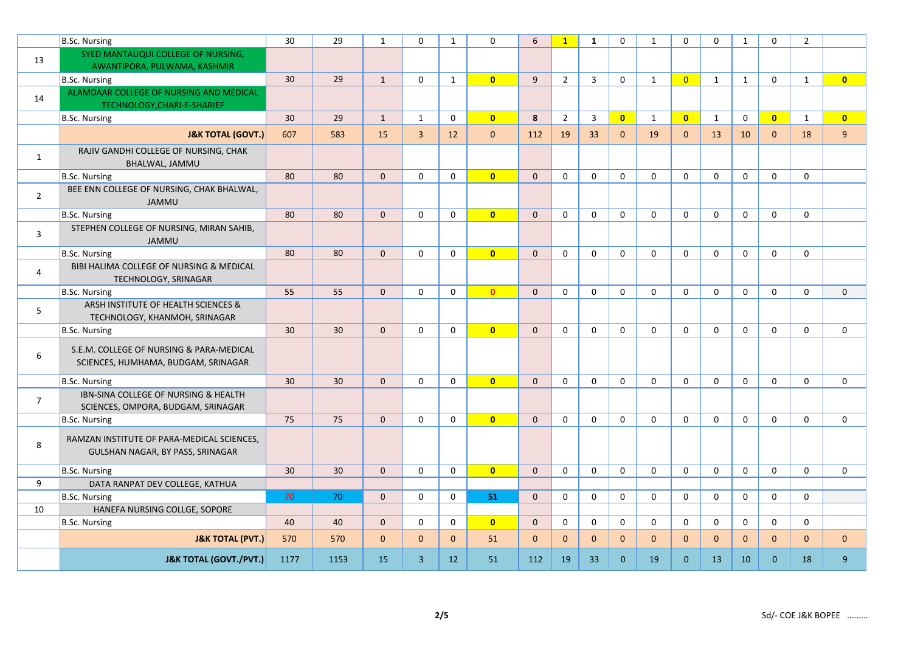|                | B.Sc. Nursing                                                                   | 30   | 29   | $\mathbf{1}$ | $\Omega$       | $\mathbf{1}$        | $\mathbf{0}$   | 6            | $\mathbf{1}$   | $\mathbf{1}$   | $\mathbf{0}$            | $\mathbf{1}$ | $\Omega$       | $\mathbf{0}$ | $\mathbf{1}$ | $\Omega$                | $\overline{2}$ |              |
|----------------|---------------------------------------------------------------------------------|------|------|--------------|----------------|---------------------|----------------|--------------|----------------|----------------|-------------------------|--------------|----------------|--------------|--------------|-------------------------|----------------|--------------|
| 13             | SYED MANTAUQUI COLLEGE OF NURSING,                                              |      |      |              |                |                     |                |              |                |                |                         |              |                |              |              |                         |                |              |
|                | AWANTIPORA, PULWAMA, KASHMIR                                                    |      |      |              |                |                     |                |              |                |                |                         |              |                |              |              |                         |                |              |
|                | <b>B.Sc. Nursing</b>                                                            | 30   | 29   | $\mathbf{1}$ | $\mathbf 0$    | $\mathbf{1}$        | $\overline{0}$ | 9            | $\overline{2}$ | $\overline{3}$ | $\mathbf 0$             | $\mathbf{1}$ | $\overline{0}$ | $\mathbf{1}$ | $\mathbf{1}$ | $\mathbf 0$             | $\mathbf{1}$   | $\bullet$    |
| 14             | ALAMDAAR COLLEGE OF NURSING AND MEDICAL<br>TECHNOLOGY, CHARI-E-SHARIEF          |      |      |              |                |                     |                |              |                |                |                         |              |                |              |              |                         |                |              |
|                | B.Sc. Nursing                                                                   | 30   | 29   | $\mathbf{1}$ | 1              | $\mathbf 0$         | $\bullet$      | 8            | $\overline{2}$ | 3              | $\overline{\mathbf{0}}$ | $\mathbf{1}$ | $\mathbf{0}$   | $\mathbf{1}$ | 0            | $\overline{\mathbf{0}}$ | $\mathbf{1}$   | $\bullet$    |
|                | <b>J&amp;K TOTAL (GOVT.)</b>                                                    | 607  | 583  | 15           | $\overline{3}$ | 12                  | $\mathbf{0}$   | 112          | 19             | 33             | $\mathbf{0}$            | 19           | $\Omega$       | 13           | 10           | $\mathbf{0}$            | 18             | 9            |
| 1              | RAJIV GANDHI COLLEGE OF NURSING, CHAK<br>BHALWAL, JAMMU                         |      |      |              |                |                     |                |              |                |                |                         |              |                |              |              |                         |                |              |
|                | <b>B.Sc. Nursing</b>                                                            | 80   | 80   | $\mathbf{0}$ | $\mathbf 0$    | $\mathbf 0$         | $\overline{0}$ | $\mathbf{0}$ | 0              | $\mathbf 0$    | $\mathbf 0$             | $\mathbf 0$  | $\mathbf 0$    | $\mathbf 0$  | 0            | $\mathbf 0$             | $\mathbf 0$    |              |
| $\overline{2}$ | BEE ENN COLLEGE OF NURSING, CHAK BHALWAL,<br><b>JAMMU</b>                       |      |      |              |                |                     |                |              |                |                |                         |              |                |              |              |                         |                |              |
|                | <b>B.Sc. Nursing</b>                                                            | 80   | 80   | $\mathbf{0}$ | $\mathbf 0$    | $\mathbf 0$         | $\mathbf{0}$   | $\mathbf{0}$ | $\mathbf 0$    | $\mathbf 0$    | $\mathbf 0$             | $\mathbf 0$  | $\mathbf{0}$   | $\mathbf 0$  | $\mathsf{O}$ | 0                       | $\mathbf 0$    |              |
| 3              | STEPHEN COLLEGE OF NURSING, MIRAN SAHIB,<br><b>JAMMU</b>                        |      |      |              |                |                     |                |              |                |                |                         |              |                |              |              |                         |                |              |
|                | <b>B.Sc. Nursing</b>                                                            | 80   | 80   | $\mathbf{0}$ | $\mathbf 0$    | $\mathsf{O}\xspace$ | $\overline{0}$ | $\mathbf{0}$ | $\mathbf 0$    | $\mathbf 0$    | $\mathbf 0$             | $\mathbf 0$  | $\mathbf 0$    | $\mathbf 0$  | $\mathsf 0$  | $\mathbf 0$             | 0              |              |
| $\overline{4}$ | BIBI HALIMA COLLEGE OF NURSING & MEDICAL<br>TECHNOLOGY, SRINAGAR                |      |      |              |                |                     |                |              |                |                |                         |              |                |              |              |                         |                |              |
|                | <b>B.Sc. Nursing</b>                                                            | 55   | 55   | $\mathbf{0}$ | $\mathbf 0$    | $\mathbf 0$         | $\bullet$      | $\Omega$     | $\mathbf 0$    | $\mathbf 0$    | $\mathbf 0$             | $\mathbf 0$  | $\mathbf 0$    | $\mathbf 0$  | $\mathbf 0$  | $\mathbf 0$             | $\mathbf 0$    | $\mathbf 0$  |
| 5              | ARSH INSTITUTE OF HEALTH SCIENCES &<br>TECHNOLOGY, KHANMOH, SRINAGAR            |      |      |              |                |                     |                |              |                |                |                         |              |                |              |              |                         |                |              |
|                | <b>B.Sc. Nursing</b>                                                            | 30   | 30   | $\mathbf{0}$ | $\Omega$       | $\mathbf 0$         | $\overline{0}$ | $\mathbf{0}$ | $\mathbf 0$    | $\Omega$       | $\mathbf 0$             | $\mathbf{0}$ | $\mathbf{0}$   | $\mathbf{0}$ | $\mathbf 0$  | $\Omega$                | $\Omega$       | $\mathbf 0$  |
| 6              | S.E.M. COLLEGE OF NURSING & PARA-MEDICAL<br>SCIENCES, HUMHAMA, BUDGAM, SRINAGAR |      |      |              |                |                     |                |              |                |                |                         |              |                |              |              |                         |                |              |
|                | <b>B.Sc. Nursing</b>                                                            | 30   | 30   | $\mathbf{0}$ | $\mathbf 0$    | $\mathbf 0$         | $\mathbf{0}$   | $\Omega$     | $\mathbf 0$    | $\mathbf{0}$   | $\mathbf 0$             | $\mathbf 0$  | $\Omega$       | $\mathbf 0$  | $\mathbf 0$  | $\mathbf 0$             | $\mathbf 0$    | $\mathbf 0$  |
| $\overline{7}$ | IBN-SINA COLLEGE OF NURSING & HEALTH<br>SCIENCES, OMPORA, BUDGAM, SRINAGAR      |      |      |              |                |                     |                |              |                |                |                         |              |                |              |              |                         |                |              |
|                | B.Sc. Nursing                                                                   | 75   | 75   | $\mathbf{0}$ | $\Omega$       | $\mathbf 0$         | $\mathbf{0}$   | $\Omega$     | $\mathbf 0$    | $\mathbf{0}$   | $\mathbf{0}$            | $\Omega$     | $\Omega$       | $\mathbf{0}$ | $\mathbf 0$  | $\Omega$                | $\Omega$       | $\mathbf 0$  |
| 8              | RAMZAN INSTITUTE OF PARA-MEDICAL SCIENCES,<br>GULSHAN NAGAR, BY PASS, SRINAGAR  |      |      |              |                |                     |                |              |                |                |                         |              |                |              |              |                         |                |              |
|                | <b>B.Sc. Nursing</b>                                                            | 30   | 30   | $\mathbf 0$  | $\Omega$       | $\mathbf 0$         | $\overline{0}$ | $\Omega$     | $\mathbf 0$    | $\Omega$       | $\mathbf 0$             | $\mathbf{0}$ | $\Omega$       | $\mathbf{0}$ | $\mathsf{O}$ | $\Omega$                | $\Omega$       | $\Omega$     |
| 9              | DATA RANPAT DEV COLLEGE, KATHUA                                                 |      |      |              |                |                     |                |              |                |                |                         |              |                |              |              |                         |                |              |
|                | <b>B.Sc. Nursing</b>                                                            | 70   | 70   | $\mathbf{0}$ | $\mathbf 0$    | $\mathbf 0$         | 51             | $\mathbf{0}$ | $\mathbf 0$    | $\mathbf 0$    | $\mathbf 0$             | $\mathbf 0$  | $\mathbf 0$    | $\mathbf 0$  | $\mathsf{O}$ | 0                       | $\mathbf 0$    |              |
| 10             | HANEFA NURSING COLLGE, SOPORE                                                   |      |      |              |                |                     |                |              |                |                |                         |              |                |              |              |                         |                |              |
|                | <b>B.Sc. Nursing</b>                                                            | 40   | 40   | $\mathbf{0}$ | $\mathbf 0$    | $\mathbf 0$         | $\mathbf{0}$   | $\mathbf{0}$ | $\mathbf 0$    | $\mathbf 0$    | $\mathbf 0$             | $\mathbf 0$  | $\mathbf 0$    | $\mathbf 0$  | $\mathbf 0$  | $\mathbf 0$             | $\mathbf 0$    |              |
|                | <b>J&amp;K TOTAL (PVT.)</b>                                                     | 570  | 570  | $\mathbf{0}$ | $\mathbf{0}$   | $\mathbf{0}$        | 51             | $\mathbf{0}$ | $\mathbf{0}$   | $\mathbf 0$    | $\mathbf{0}$            | $\mathbf{0}$ | $\mathbf{0}$   | $\mathbf{0}$ | $\mathbf{0}$ | $\mathbf{0}$            | $\mathbf{0}$   | $\mathbf{0}$ |
|                | <b>J&amp;K TOTAL (GOVT./PVT.)</b>                                               | 1177 | 1153 | 15           | $\overline{3}$ | 12                  | 51             | 112          | 19             | 33             | $\Omega$                | 19           | $\Omega$       | 13           | 10           | $\Omega$                | 18             | 9            |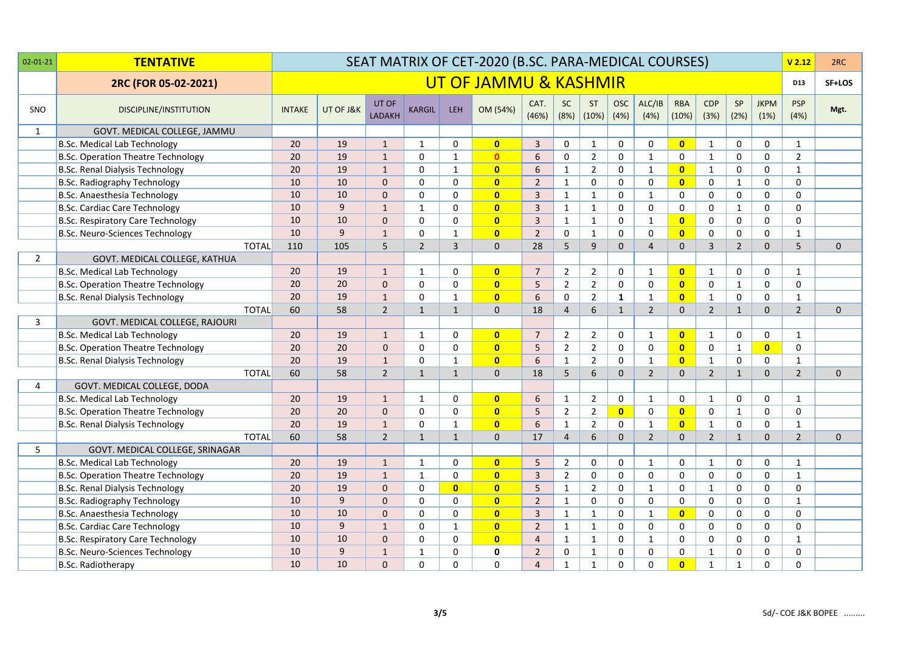| $02 - 01 - 21$ | <b>TENTATIVE</b>                          |               |             |                        |                |                         | SEAT MATRIX OF CET-2020 (B.SC. PARA-MEDICAL COURSES) |                |                   |                    |                    |                |                     |                    |                |                     | V <sub>2.12</sub>  | 2RC          |
|----------------|-------------------------------------------|---------------|-------------|------------------------|----------------|-------------------------|------------------------------------------------------|----------------|-------------------|--------------------|--------------------|----------------|---------------------|--------------------|----------------|---------------------|--------------------|--------------|
|                | 2RC (FOR 05-02-2021)                      |               |             |                        |                |                         | UT OF JAMMU & KASHMIR                                |                |                   |                    |                    |                |                     |                    |                |                     | D13                | SF+LOS       |
| SNO            | DISCIPLINE/INSTITUTION                    | <b>INTAKE</b> | UT OF J&K   | UT OF<br><b>LADAKH</b> | <b>KARGIL</b>  | LEH <sub>1</sub>        | OM (54%)                                             | CAT.<br>(46%)  | <b>SC</b><br>(8%) | <b>ST</b><br>(10%) | <b>OSC</b><br>(4%) | ALC/IB<br>(4%) | <b>RBA</b><br>(10%) | <b>CDP</b><br>(3%) | SP<br>(2%)     | <b>JKPM</b><br>(1%) | <b>PSP</b><br>(4%) | Mgt.         |
| $\mathbf{1}$   | GOVT. MEDICAL COLLEGE, JAMMU              |               |             |                        |                |                         |                                                      |                |                   |                    |                    |                |                     |                    |                |                     |                    |              |
|                | B.Sc. Medical Lab Technology              | 20            | 19          | $\mathbf{1}$           | $\mathbf{1}$   | 0                       | $\overline{\mathbf{0}}$                              | $\overline{3}$ | $\mathbf 0$       | $\mathbf{1}$       | $\mathbf 0$        | $\mathbf 0$    | $\mathbf{0}$        | $\mathbf{1}$       | 0              | $\mathbf 0$         | $\mathbf{1}$       |              |
|                | <b>B.Sc. Operation Theatre Technology</b> | 20            | 19          | $\mathbf{1}$           | $\Omega$       | $\mathbf{1}$            | $\mathbf{0}$                                         | 6              | $\Omega$          | $\overline{2}$     | $\mathbf{0}$       | $\mathbf{1}$   | $\mathbf{0}$        | $\mathbf{1}$       | $\mathbf 0$    | $\Omega$            | $\overline{2}$     |              |
|                | <b>B.Sc. Renal Dialysis Technology</b>    | 20            | 19          | $\mathbf{1}$           | $\Omega$       | $\mathbf{1}$            | $\overline{0}$                                       | 6              | $\mathbf{1}$      | $\overline{2}$     | $\Omega$           | $\mathbf{1}$   | $\overline{0}$      | $\mathbf{1}$       | $\mathbf 0$    | $\Omega$            | $\mathbf{1}$       |              |
|                | <b>B.Sc. Radiography Technology</b>       | 10            | 10          | $\Omega$               | $\Omega$       | 0                       | $\overline{0}$                                       | $\overline{2}$ | $\mathbf{1}$      | $\mathbf 0$        | $\Omega$           | $\mathbf 0$    | $\bullet$           | $\mathbf{0}$       | $\mathbf{1}$   | $\mathbf 0$         | 0                  |              |
|                | B.Sc. Anaesthesia Technology              | 10            | 10          | $\mathbf{0}$           | 0              | $\mathbf 0$             | $\overline{0}$                                       | $\overline{3}$ | 1                 | $\mathbf{1}$       | $\Omega$           | $\mathbf{1}$   | $\mathbf 0$         | $\Omega$           | $\mathbf 0$    | $\mathbf 0$         | $\Omega$           |              |
|                | <b>B.Sc. Cardiac Care Technology</b>      | 10            | 9           | $\mathbf{1}$           | $\mathbf{1}$   | 0                       | $\overline{0}$                                       | $\overline{3}$ | $\mathbf{1}$      | $\mathbf{1}$       | $\Omega$           | $\mathbf 0$    | $\mathbf 0$         | $\Omega$           | $\mathbf{1}$   | $\mathbf 0$         | 0                  |              |
|                | <b>B.Sc. Respiratory Care Technology</b>  | 10            | 10          | $\mathbf 0$            | 0              | $\Omega$                | $\mathbf{0}$                                         | $\overline{3}$ | $\mathbf{1}$      | $\mathbf{1}$       | $\Omega$           | $\mathbf{1}$   | $\mathbf{0}$        | 0                  | $\mathbf 0$    | $\mathbf 0$         | 0                  |              |
|                | B.Sc. Neuro-Sciences Technology           | 10            | 9           | $\mathbf{1}$           | $\Omega$       | $\mathbf{1}$            | $\overline{0}$                                       | $\overline{2}$ | $\mathbf 0$       | $\mathbf{1}$       | $\Omega$           | $\Omega$       | $\overline{0}$      | $\Omega$           | $\mathbf 0$    | $\Omega$            | $\mathbf{1}$       |              |
|                | <b>TOTAL</b>                              | 110           | 105         | 5                      | $\overline{2}$ | $\overline{3}$          | $\mathbf{0}$                                         | 28             | 5                 | 9                  | $\Omega$           | $\overline{4}$ | $\mathbf{0}$        | $\overline{3}$     | $\overline{2}$ | $\mathbf{0}$        | 5                  | $\mathbf 0$  |
| 2              | GOVT. MEDICAL COLLEGE, KATHUA             |               |             |                        |                |                         |                                                      |                |                   |                    |                    |                |                     |                    |                |                     |                    |              |
|                | <b>B.Sc. Medical Lab Technology</b>       | 20            | 19          | $\mathbf{1}$           | $\mathbf{1}$   | $\mathbf 0$             | $\overline{0}$                                       | $\overline{7}$ | $\overline{2}$    | $\overline{2}$     | $\mathbf 0$        | $\mathbf{1}$   | $\bullet$           | $\mathbf{1}$       | 0              | $\mathbf 0$         | $\mathbf{1}$       |              |
|                | <b>B.Sc. Operation Theatre Technology</b> | 20            | 20          | $\mathbf{0}$           | $\Omega$       | 0                       | $\overline{\mathbf{0}}$                              | 5              | $\overline{2}$    | $\overline{2}$     | $\Omega$           | $\mathbf 0$    | $\mathbf{0}$        | $\mathbf 0$        | $\mathbf{1}$   | $\mathbf 0$         | 0                  |              |
|                | B.Sc. Renal Dialysis Technology           | 20            | 19          | $\mathbf{1}$           | $\Omega$       | $\mathbf{1}$            | $\overline{0}$                                       | 6              | $\mathbf 0$       | $\overline{2}$     | $\mathbf{1}$       | $\mathbf{1}$   | $\mathbf{0}$        | $\mathbf{1}$       | $\mathbf 0$    | $\mathbf 0$         | $\mathbf{1}$       |              |
|                | <b>TOTAL</b>                              | 60            | 58          | $\overline{2}$         | $\mathbf{1}$   | $\mathbf{1}$            | $\mathbf{0}$                                         | 18             | $\overline{4}$    | 6                  | $\mathbf{1}$       | $2^{\circ}$    | $\mathbf{0}$        | $\overline{2}$     | $\mathbf{1}$   | $\mathbf{0}$        | $\overline{2}$     | $\mathbf{0}$ |
| 3              | <b>GOVT. MEDICAL COLLEGE, RAJOURI</b>     |               |             |                        |                |                         |                                                      |                |                   |                    |                    |                |                     |                    |                |                     |                    |              |
|                | B.Sc. Medical Lab Technology              | 20            | 19          | $\mathbf{1}$           | $\mathbf{1}$   | $\mathbf 0$             | $\overline{0}$                                       | $\overline{7}$ | $\overline{2}$    | $\overline{2}$     | $\mathbf 0$        | $\mathbf{1}$   | $\bullet$           | $\mathbf{1}$       | 0              | $\mathbf 0$         | $\mathbf{1}$       |              |
|                | <b>B.Sc. Operation Theatre Technology</b> | 20            | 20          | $\mathbf{0}$           | 0              | 0                       | $\mathbf{0}$                                         | 5              | $\overline{2}$    | $\overline{2}$     | $\mathbf 0$        | $\mathbf 0$    | $\bullet$           | $\mathbf 0$        | $\mathbf{1}$   | $\mathbf{0}$        | 0                  |              |
|                | B.Sc. Renal Dialysis Technology           | 20            | 19          | $\mathbf{1}$           | $\Omega$       | $\mathbf{1}$            | $\overline{0}$                                       | 6              | $\mathbf{1}$      | $\overline{2}$     | $\mathbf 0$        | $\mathbf{1}$   | $\mathbf{0}$        | $\mathbf{1}$       | $\mathbf 0$    | $\mathbf 0$         | $\mathbf{1}$       |              |
|                | <b>TOTAL</b>                              | 60            | 58          | $\overline{2}$         | $\mathbf{1}$   | $\mathbf{1}$            | $\mathbf{0}$                                         | 18             | 5                 | 6                  | 0                  | $\overline{2}$ | $\mathbf{0}$        | $\overline{2}$     | $\mathbf{1}$   | $\mathbf{0}$        | $\overline{2}$     | $\mathbf{0}$ |
| 4              | GOVT. MEDICAL COLLEGE, DODA               |               |             |                        |                |                         |                                                      |                |                   |                    |                    |                |                     |                    |                |                     |                    |              |
|                | <b>B.Sc. Medical Lab Technology</b>       | 20            | 19          | $\mathbf{1}$           | $\mathbf{1}$   | $\mathbf 0$             | $\overline{0}$                                       | 6              | $\mathbf{1}$      | $\overline{2}$     | $\mathbf 0$        | $\mathbf{1}$   | $\mathbf 0$         | 1                  | 0              | $\mathbf 0$         | $\mathbf{1}$       |              |
|                | <b>B.Sc. Operation Theatre Technology</b> | 20            | 20          | $\Omega$               | $\Omega$       | 0                       | $\overline{0}$                                       | 5              | $\overline{2}$    | $\overline{2}$     | $\overline{0}$     | $\mathbf 0$    | $\bullet$           | $\mathbf 0$        | $\mathbf{1}$   | $\mathbf 0$         | 0                  |              |
|                | B.Sc. Renal Dialysis Technology           | 20            | 19          | $\mathbf{1}$           | $\Omega$       | $\mathbf{1}$            | $\overline{0}$                                       | 6              | $\mathbf{1}$      | $\overline{2}$     | $\Omega$           | $\mathbf{1}$   | $\mathbf{0}$        | $\mathbf{1}$       | $\mathbf 0$    | $\mathbf 0$         | $\mathbf{1}$       |              |
|                | <b>TOTAL</b>                              | 60            | 58          | $\overline{2}$         | $\mathbf{1}$   | $\mathbf{1}$            | $\mathbf{0}$                                         | 17             | $\overline{4}$    | 6                  | $\mathbf{0}$       | $2^{\circ}$    | $\mathbf 0$         | $\overline{2}$     | $\mathbf{1}$   | $\mathbf{0}$        | $\overline{2}$     | $\mathbf 0$  |
| 5              | GOVT. MEDICAL COLLEGE, SRINAGAR           |               |             |                        |                |                         |                                                      |                |                   |                    |                    |                |                     |                    |                |                     |                    |              |
|                | <b>B.Sc. Medical Lab Technology</b>       | 20            | 19          | $\mathbf{1}$           | 1              | $\mathbf 0$             | $\mathbf{0}$                                         | 5              | $\overline{2}$    | $\mathbf 0$        | $\mathbf 0$        | $\mathbf{1}$   | 0                   | $\mathbf{1}$       | 0              | $\mathbf 0$         | $\mathbf{1}$       |              |
|                | <b>B.Sc. Operation Theatre Technology</b> | 20            | 19          | $\mathbf{1}$           | $\mathbf{1}$   | 0                       | $\overline{0}$                                       | 3              | $\overline{2}$    | $\mathbf 0$        | $\mathbf 0$        | 0              | 0                   | $\mathbf 0$        | 0              | $\mathbf 0$         | $\mathbf{1}$       |              |
|                | B.Sc. Renal Dialysis Technology           | 20            | 19          | $\mathbf{0}$           | $\Omega$       | $\overline{\mathbf{0}}$ | $\overline{0}$                                       | 5              | $\mathbf{1}$      | $\overline{2}$     | $\mathbf 0$        | $\mathbf{1}$   | $\mathbf 0$         | $\mathbf{1}$       | 0              | $\mathbf 0$         | 0                  |              |
|                | <b>B.Sc. Radiography Technology</b>       | 10            | 9           | $\mathbf{0}$           | $\Omega$       | 0                       | $\overline{0}$                                       | $\overline{2}$ | $\mathbf{1}$      | $\mathbf 0$        | $\mathbf 0$        | $\mathbf 0$    | $\mathbf 0$         | 0                  | 0              | $\mathbf 0$         | $\mathbf{1}$       |              |
|                | B.Sc. Anaesthesia Technology              | 10            | 10          | $\mathbf 0$            | 0              | 0                       | $\overline{\mathbf{0}}$                              | 3              | $\mathbf{1}$      | $\mathbf{1}$       | $\mathbf 0$        | $\mathbf{1}$   | $\mathbf{0}$        | 0                  | 0              | $\mathbf 0$         | 0                  |              |
|                | <b>B.Sc. Cardiac Care Technology</b>      | 10            | $\mathsf g$ | $\mathbf{1}$           | $\Omega$       | $\mathbf{1}$            | $\mathbf{0}$                                         | $\overline{2}$ | $\mathbf{1}$      | $\mathbf{1}$       | $\Omega$           | $\mathbf 0$    | 0                   | 0                  | $\mathbf 0$    | $\mathbf 0$         | 0                  |              |
|                | B.Sc. Respiratory Care Technology         | 10            | 10          | $\mathbf{0}$           | 0              | $\mathbf 0$             | $\mathbf{0}$                                         | $\overline{4}$ | $\mathbf{1}$      | $\mathbf{1}$       | $\mathbf 0$        | $\mathbf{1}$   | $\mathbf 0$         | 0                  | $\mathbf 0$    | $\mathbf 0$         | $\mathbf{1}$       |              |
|                | B.Sc. Neuro-Sciences Technology           | 10            | 9           | $\mathbf{1}$           | $\mathbf{1}$   | 0                       | 0                                                    | $\overline{2}$ | $\mathbf 0$       | $\mathbf{1}$       | 0                  | $\mathbf 0$    | 0                   | $\mathbf{1}$       | 0              | 0                   | 0                  |              |
|                | <b>B.Sc. Radiotherapy</b>                 | 10            | 10          | $\Omega$               | $\Omega$       | $\Omega$                | $\Omega$                                             | $\overline{4}$ | $\mathbf{1}$      | $\mathbf{1}$       | 0                  | $\Omega$       | $\mathbf{0}$        | $\mathbf{1}$       | $\mathbf{1}$   | $\mathbf 0$         | 0                  |              |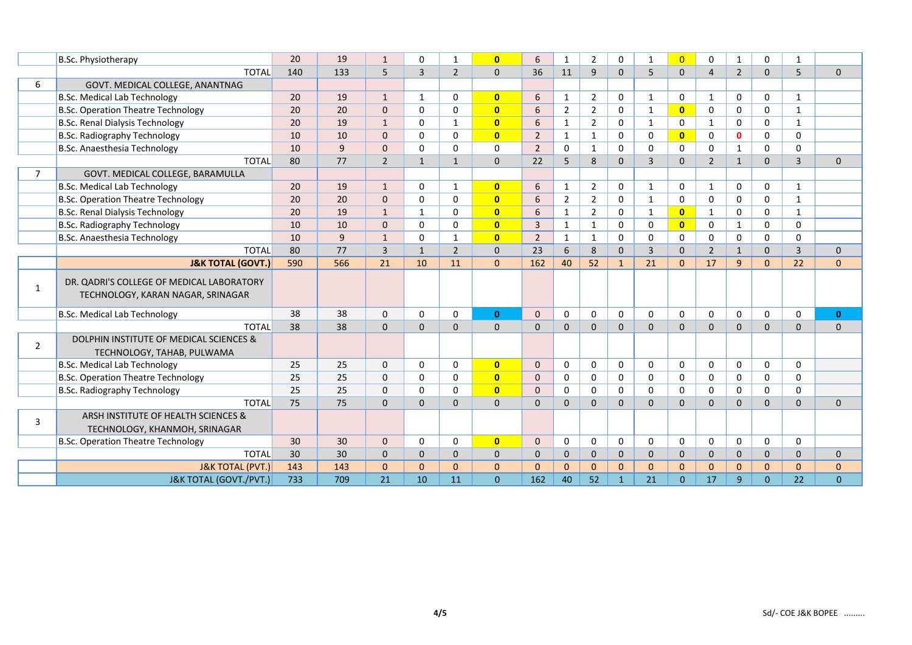|                | <b>B.Sc. Physiotherapy</b>                                                     | 20  | 19  | $\mathbf{1}$   | 0              |                | $\mathbf{0}$   | 6              | 1              | $\overline{2}$ | 0            |                | $\overline{0}$ | 0              | 1              | 0            | 1              |              |
|----------------|--------------------------------------------------------------------------------|-----|-----|----------------|----------------|----------------|----------------|----------------|----------------|----------------|--------------|----------------|----------------|----------------|----------------|--------------|----------------|--------------|
|                | <b>TOTAL</b>                                                                   | 140 | 133 | 5              | $\overline{3}$ | $\overline{2}$ | $\Omega$       | 36             | 11             | 9              | $\Omega$     | 5              | $\mathbf 0$    | $\overline{4}$ | $\overline{2}$ | $\mathbf{0}$ | 5              | $\mathbf 0$  |
| 6              | GOVT. MEDICAL COLLEGE, ANANTNAG                                                |     |     |                |                |                |                |                |                |                |              |                |                |                |                |              |                |              |
|                | <b>B.Sc. Medical Lab Technology</b>                                            | 20  | 19  | $\mathbf{1}$   | 1              | $\Omega$       | $\mathbf{0}$   | 6              | $\mathbf{1}$   | $\overline{2}$ | 0            | $\mathbf{1}$   | 0              | 1              | 0              | $\mathbf 0$  | $\mathbf{1}$   |              |
|                | B.Sc. Operation Theatre Technology                                             | 20  | 20  | $\Omega$       | $\Omega$       | $\Omega$       | $\mathbf{0}$   | 6              | 2              | $\overline{2}$ | $\Omega$     | $\mathbf{1}$   | $\overline{0}$ | 0              | $\Omega$       | $\mathbf 0$  | $\mathbf{1}$   |              |
|                | <b>B.Sc. Renal Dialysis Technology</b>                                         | 20  | 19  | $\mathbf{1}$   | 0              | $\mathbf{1}$   | $\mathbf{0}$   | 6              | 1              | $\overline{2}$ | $\Omega$     | $\mathbf{1}$   | 0              | 1              | 0              | $\mathbf 0$  | $\mathbf{1}$   |              |
|                | <b>B.Sc. Radiography Technology</b>                                            | 10  | 10  | 0              | $\Omega$       | $\Omega$       | $\mathbf{0}$   | $\overline{2}$ | $\mathbf{1}$   | $\mathbf{1}$   | $\Omega$     | $\Omega$       | $\overline{0}$ | $\Omega$       | $\mathbf{0}$   | $\Omega$     | $\Omega$       |              |
|                | B.Sc. Anaesthesia Technology                                                   | 10  | 9   | 0              | $\Omega$       | 0              | 0              | $\overline{2}$ | $\mathbf 0$    | $\mathbf{1}$   | 0            | 0              | 0              | 0              | 1              | $\mathbf 0$  | 0              |              |
|                | <b>TOTAL</b>                                                                   | 80  | 77  | $\overline{2}$ | $\mathbf{1}$   | $\mathbf{1}$   | $\mathbf{0}$   | 22             | 5              | 8              | $\Omega$     | $\overline{3}$ | $\mathbf 0$    | $\overline{2}$ | $\mathbf{1}$   | $\mathbf{0}$ | 3              | $\Omega$     |
| $\overline{7}$ | GOVT. MEDICAL COLLEGE, BARAMULLA                                               |     |     |                |                |                |                |                |                |                |              |                |                |                |                |              |                |              |
|                | <b>B.Sc. Medical Lab Technology</b>                                            | 20  | 19  | $\mathbf{1}$   | $\Omega$       | 1              | $\overline{0}$ | 6              | $\mathbf{1}$   | $\overline{2}$ | 0            | $\mathbf{1}$   | 0              | 1              | 0              | 0            | $\mathbf{1}$   |              |
|                | <b>B.Sc. Operation Theatre Technology</b>                                      | 20  | 20  | $\mathbf{0}$   | $\Omega$       | $\Omega$       | $\mathbf{0}$   | 6              | $\overline{2}$ | $\overline{2}$ | $\Omega$     | $\mathbf{1}$   | $\Omega$       | $\Omega$       | $\mathbf 0$    | $\Omega$     | $\mathbf{1}$   |              |
|                | <b>B.Sc. Renal Dialysis Technology</b>                                         | 20  | 19  | $\mathbf{1}$   | 1              | $\mathbf 0$    | $\mathbf{0}$   | 6              | $\mathbf{1}$   | $\overline{2}$ | 0            | $\mathbf{1}$   | $\overline{0}$ | $\mathbf{1}$   | 0              | $\mathbf 0$  | $\mathbf{1}$   |              |
|                | <b>B.Sc. Radiography Technology</b>                                            | 10  | 10  | 0              | $\Omega$       | $\mathbf 0$    | $\overline{0}$ | 3              | $\mathbf{1}$   | $\mathbf{1}$   | $\Omega$     | $\Omega$       | $\mathbf{0}$   | $\Omega$       | $\mathbf{1}$   | $\Omega$     | $\Omega$       |              |
|                | B.Sc. Anaesthesia Technology                                                   | 10  | 9   | $\mathbf{1}$   | $\Omega$       | $\mathbf{1}$   | $\mathbf{0}$   | $\overline{2}$ | $\mathbf{1}$   | $\mathbf{1}$   | $\mathbf 0$  | 0              | 0              | 0              | 0              | $\mathbf 0$  | 0              |              |
|                | <b>TOTAL</b>                                                                   | 80  | 77  | $\overline{3}$ | $\overline{1}$ | $\overline{2}$ | $\mathbf{0}$   | 23             | 6              | 8              | $\Omega$     | $\overline{3}$ | $\Omega$       | $\overline{2}$ | $\mathbf{1}$   | $\mathbf{0}$ | $\overline{3}$ | $\mathbf{0}$ |
|                | <b>J&amp;K TOTAL (GOVT.)</b>                                                   | 590 | 566 | 21             | 10             | 11             | $\mathbf{0}$   | 162            | 40             | 52             | $\mathbf{1}$ | 21             | $\mathbf{0}$   | 17             | 9              | $\mathbf{0}$ | 22             | $\mathbf{0}$ |
| 1              | DR. QADRI'S COLLEGE OF MEDICAL LABORATORY<br>TECHNOLOGY, KARAN NAGAR, SRINAGAR |     |     |                |                |                |                |                |                |                |              |                |                |                |                |              |                |              |
|                | <b>B.Sc. Medical Lab Technology</b>                                            | 38  | 38  | $\mathbf 0$    | 0              | $\mathbf 0$    | $\mathbf{0}$   | $\mathbf{0}$   | $\mathbf 0$    | $\Omega$       | $\Omega$     | $\Omega$       | $\mathbf 0$    | $\Omega$       | $\mathbf 0$    | $\mathbf 0$  | 0              | $\mathbf{0}$ |
|                | <b>TOTAL</b>                                                                   | 38  | 38  | 0              | $\mathbf 0$    | $\mathbf{0}$   | $\mathbf{0}$   | 0              | $\mathbf{0}$   | $\mathbf{0}$   | $\mathbf{0}$ | 0              | $\mathbf 0$    | $\mathbf{0}$   | $\mathbf{0}$   | $\mathbf{0}$ | 0              | $\mathbf{0}$ |
| $\overline{2}$ | DOLPHIN INSTITUTE OF MEDICAL SCIENCES &<br>TECHNOLOGY, TAHAB, PULWAMA          |     |     |                |                |                |                |                |                |                |              |                |                |                |                |              |                |              |
|                | <b>B.Sc. Medical Lab Technology</b>                                            | 25  | 25  | $\mathbf 0$    | 0              | 0              | $\mathbf{0}$   | 0              | $\mathbf 0$    | $\Omega$       | $\mathbf 0$  | 0              | $\mathbf 0$    | 0              | 0              | $\mathbf 0$  | 0              |              |
|                | <b>B.Sc. Operation Theatre Technology</b>                                      | 25  | 25  | $\mathbf 0$    | $\Omega$       | $\mathbf 0$    | $\mathbf{0}$   | 0              | $\mathbf 0$    | $\Omega$       | $\Omega$     | 0              | $\Omega$       | $\Omega$       | $\mathbf 0$    | $\mathbf 0$  | $\Omega$       |              |
|                | <b>B.Sc. Radiography Technology</b>                                            | 25  | 25  | 0              | $\Omega$       | $\Omega$       | $\mathbf{0}$   | $\Omega$       | 0              | 0              | 0            | 0              | $\mathbf 0$    | 0              | $\mathbf 0$    | $\mathbf 0$  | 0              |              |
|                | <b>TOTAL</b>                                                                   | 75  | 75  | 0              | $\Omega$       | $\Omega$       | $\mathbf{0}$   | 0              | $\Omega$       | $\Omega$       | $\Omega$     | 0              | $\Omega$       | $\Omega$       | $\mathbf{0}$   | $\mathbf{0}$ | $\overline{0}$ | $\mathbf{0}$ |
| 3              | ARSH INSTITUTE OF HEALTH SCIENCES &<br>TECHNOLOGY, KHANMOH, SRINAGAR           |     |     |                |                |                |                |                |                |                |              |                |                |                |                |              |                |              |
|                | <b>B.Sc. Operation Theatre Technology</b>                                      | 30  | 30  | $\Omega$       | $\Omega$       | $\Omega$       | $\mathbf{0}$   | $\Omega$       | $\Omega$       | $\Omega$       | $\Omega$     | $\Omega$       | $\mathbf 0$    | $\Omega$       | $\Omega$       | $\Omega$     | $\Omega$       |              |
|                | <b>TOTAL</b>                                                                   | 30  | 30  | $\mathbf{0}$   | $\Omega$       | $\Omega$       | $\mathbf 0$    | 0              | $\mathbf{0}$   | $\mathbf{0}$   | $\mathbf{0}$ | 0              | $\mathbf 0$    | $\mathbf{0}$   | $\mathbf{0}$   | $\mathbf 0$  | 0              | $\mathbf{0}$ |
|                | <b>J&amp;K TOTAL (PVT.)</b>                                                    | 143 | 143 | $\mathbf{0}$   | $\Omega$       | $\Omega$       | $\mathbf{0}$   | $\Omega$       | $\mathbf{0}$   | $\Omega$       | $\Omega$     | 0              | $\Omega$       | $\Omega$       | $\mathbf{0}$   | $\mathbf{0}$ | $\overline{0}$ | $\mathbf{0}$ |
|                | <b>J&amp;K TOTAL (GOVT./PVT.)</b>                                              | 733 | 709 | 21             | 10             | 11             | $\mathbf{0}$   | 162            | 40             | 52             | $\mathbf{1}$ | 21             | $\mathbf{0}$   | 17             | 9              | $\mathbf{0}$ | 22             | $\mathbf{0}$ |